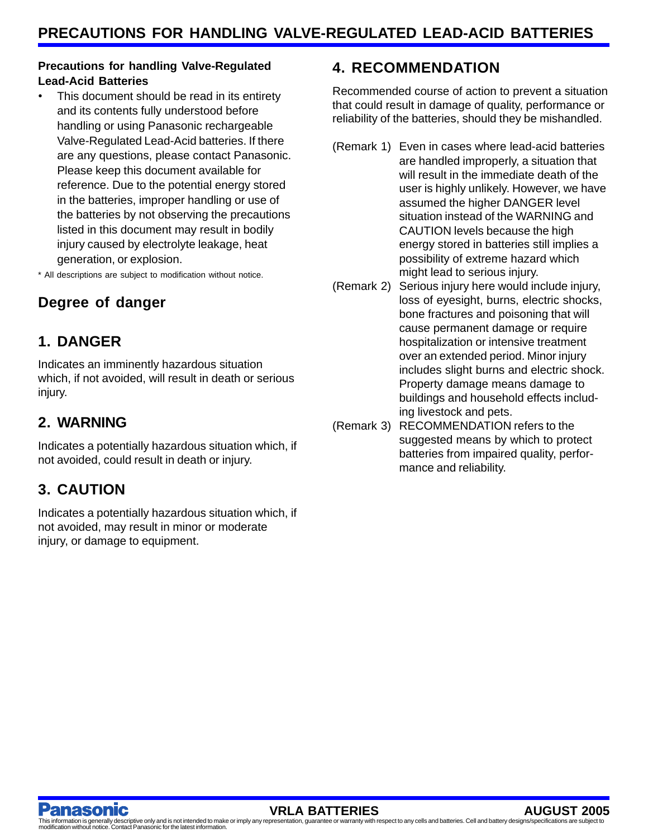#### **Precautions for handling Valve-Regulated Lead-Acid Batteries**

- This document should be read in its entirety and its contents fully understood before handling or using Panasonic rechargeable Valve-Regulated Lead-Acid batteries. If there are any questions, please contact Panasonic. Please keep this document available for reference. Due to the potential energy stored in the batteries, improper handling or use of the batteries by not observing the precautions listed in this document may result in bodily injury caused by electrolyte leakage, heat generation, or explosion.
- \* All descriptions are subject to modification without notice.

# **Degree of danger**

# **1. DANGER**

Indicates an imminently hazardous situation which, if not avoided, will result in death or serious injury.

# **2. WARNING**

Indicates a potentially hazardous situation which, if not avoided, could result in death or injury.

# **3. CAUTION**

Indicates a potentially hazardous situation which, if not avoided, may result in minor or moderate injury, or damage to equipment.

# **4. RECOMMENDATION**

Recommended course of action to prevent a situation that could result in damage of quality, performance or reliability of the batteries, should they be mishandled.

- (Remark 1) Even in cases where lead-acid batteries are handled improperly, a situation that will result in the immediate death of the user is highly unlikely. However, we have assumed the higher DANGER level situation instead of the WARNING and CAUTION levels because the high energy stored in batteries still implies a possibility of extreme hazard which might lead to serious injury.
- (Remark 2) Serious injury here would include injury, loss of eyesight, burns, electric shocks, bone fractures and poisoning that will cause permanent damage or require hospitalization or intensive treatment over an extended period. Minor injury includes slight burns and electric shock. Property damage means damage to buildings and household effects including livestock and pets.
- (Remark 3) RECOMMENDATION refers to the suggested means by which to protect batteries from impaired quality, performance and reliability.

anasonic

**VRLA BATTERIES AUGUST 2005**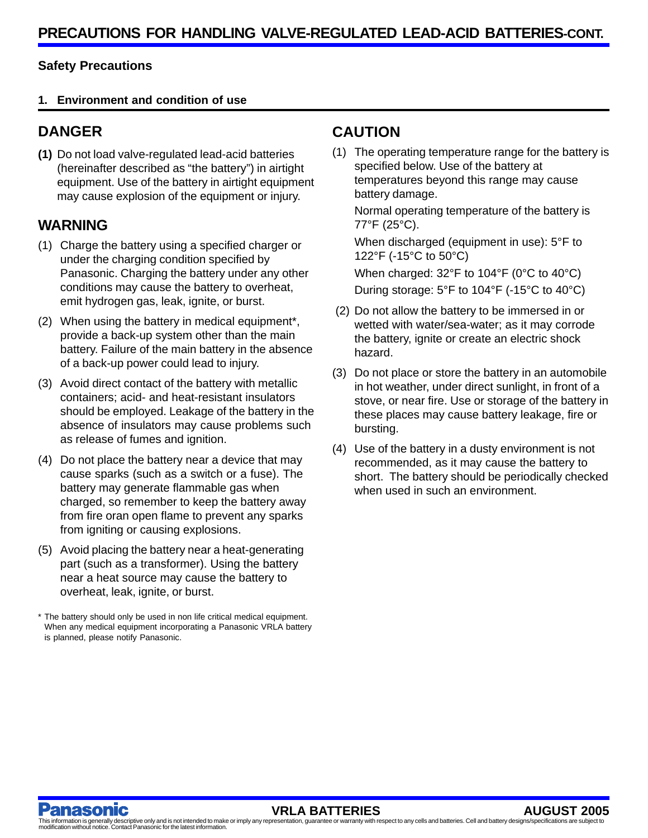#### **Safety Precautions**

#### **1. Environment and condition of use**

# **DANGER**

**(1)** Do not load valve-regulated lead-acid batteries (hereinafter described as "the battery") in airtight equipment. Use of the battery in airtight equipment may cause explosion of the equipment or injury.

## **WARNING**

- (1) Charge the battery using a specified charger or under the charging condition specified by Panasonic. Charging the battery under any other conditions may cause the battery to overheat, emit hydrogen gas, leak, ignite, or burst.
- (2) When using the battery in medical equipment\*, provide a back-up system other than the main battery. Failure of the main battery in the absence of a back-up power could lead to injury.
- (3) Avoid direct contact of the battery with metallic containers; acid- and heat-resistant insulators should be employed. Leakage of the battery in the absence of insulators may cause problems such as release of fumes and ignition.
- (4) Do not place the battery near a device that may cause sparks (such as a switch or a fuse). The battery may generate flammable gas when charged, so remember to keep the battery away from fire oran open flame to prevent any sparks from igniting or causing explosions.
- (5) Avoid placing the battery near a heat-generating part (such as a transformer). Using the battery near a heat source may cause the battery to overheat, leak, ignite, or burst.

\* The battery should only be used in non life critical medical equipment. When any medical equipment incorporating a Panasonic VRLA battery is planned, please notify Panasonic.

# **CAUTION**

(1) The operating temperature range for the battery is specified below. Use of the battery at temperatures beyond this range may cause battery damage.

Normal operating temperature of the battery is 77°F (25°C).

When discharged (equipment in use): 5°F to 122°F (-15°C to 50°C)

When charged: 32°F to 104°F (0°C to 40°C) During storage: 5°F to 104°F (-15°C to 40°C)

- (2) Do not allow the battery to be immersed in or wetted with water/sea-water; as it may corrode the battery, ignite or create an electric shock hazard.
- (3) Do not place or store the battery in an automobile in hot weather, under direct sunlight, in front of a stove, or near fire. Use or storage of the battery in these places may cause battery leakage, fire or bursting.
- (4) Use of the battery in a dusty environment is not recommended, as it may cause the battery to short. The battery should be periodically checked when used in such an environment.

anasonic

#### **VRLA BATTERIES AUGUST 2005**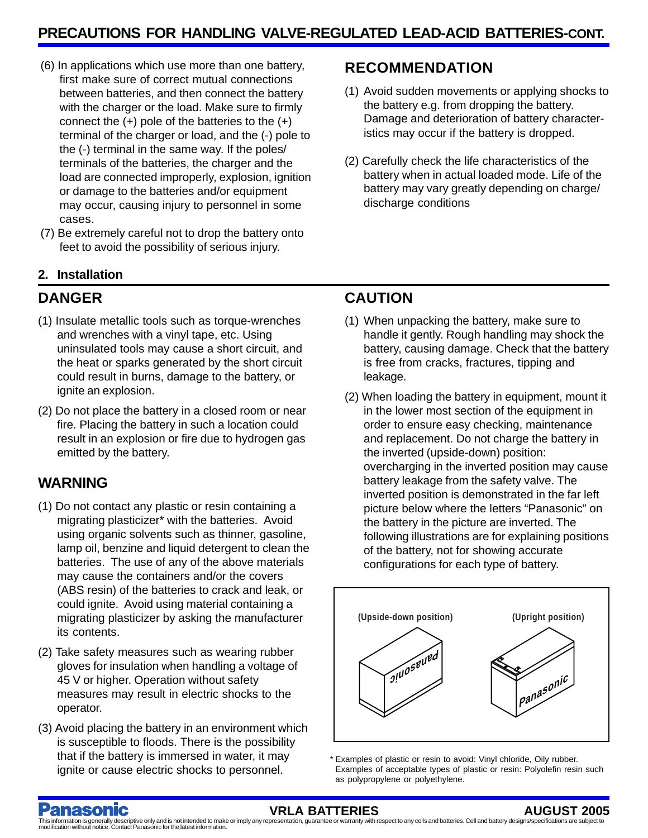- (6) In applications which use more than one battery, first make sure of correct mutual connections between batteries, and then connect the battery with the charger or the load. Make sure to firmly connect the  $(+)$  pole of the batteries to the  $(+)$ terminal of the charger or load, and the (-) pole to the (-) terminal in the same way. If the poles/ terminals of the batteries, the charger and the load are connected improperly, explosion, ignition or damage to the batteries and/or equipment may occur, causing injury to personnel in some cases.
- (7) Be extremely careful not to drop the battery onto feet to avoid the possibility of serious injury.

## **2. Installation**

# **DANGER**

- (1) Insulate metallic tools such as torque-wrenches and wrenches with a vinyl tape, etc. Using uninsulated tools may cause a short circuit, and the heat or sparks generated by the short circuit could result in burns, damage to the battery, or ignite an explosion.
- (2) Do not place the battery in a closed room or near fire. Placing the battery in such a location could result in an explosion or fire due to hydrogen gas emitted by the battery.

## **WARNING**

- (1) Do not contact any plastic or resin containing a migrating plasticizer\* with the batteries. Avoid using organic solvents such as thinner, gasoline, lamp oil, benzine and liquid detergent to clean the batteries. The use of any of the above materials may cause the containers and/or the covers (ABS resin) of the batteries to crack and leak, or could ignite. Avoid using material containing a migrating plasticizer by asking the manufacturer its contents.
- (2) Take safety measures such as wearing rubber gloves for insulation when handling a voltage of 45 V or higher. Operation without safety measures may result in electric shocks to the operator.
- (3) Avoid placing the battery in an environment which is susceptible to floods. There is the possibility that if the battery is immersed in water, it may ignite or cause electric shocks to personnel.

## **RECOMMENDATION**

- (1) Avoid sudden movements or applying shocks to the battery e.g. from dropping the battery. Damage and deterioration of battery characteristics may occur if the battery is dropped.
- (2) Carefully check the life characteristics of the battery when in actual loaded mode. Life of the battery may vary greatly depending on charge/ discharge conditions

# **CAUTION**

- (1) When unpacking the battery, make sure to handle it gently. Rough handling may shock the battery, causing damage. Check that the battery is free from cracks, fractures, tipping and leakage.
- (2) When loading the battery in equipment, mount it in the lower most section of the equipment in order to ensure easy checking, maintenance and replacement. Do not charge the battery in the inverted (upside-down) position: overcharging in the inverted position may cause battery leakage from the safety valve. The inverted position is demonstrated in the far left picture below where the letters "Panasonic" on the battery in the picture are inverted. The following illustrations are for explaining positions of the battery, not for showing accurate configurations for each type of battery.



\* Examples of plastic or resin to avoid: Vinyl chloride, Oily rubber. Examples of acceptable types of plastic or resin: Polyolefin resin such as polypropylene or polyethylene.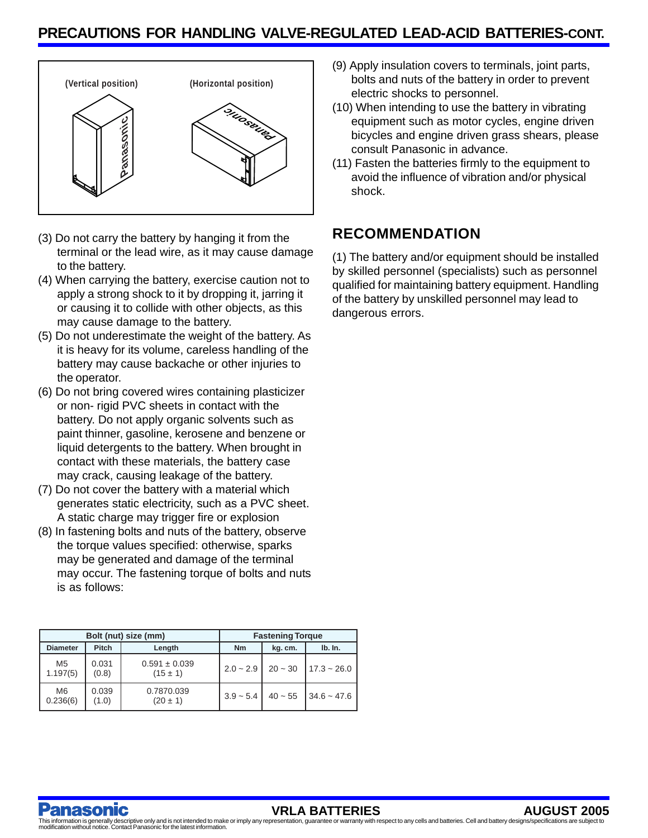# **PRECAUTIONS FOR HANDLING VALVE-REGULATED LEAD-ACID BATTERIES-CONT.**



- (3) Do not carry the battery by hanging it from the terminal or the lead wire, as it may cause damage to the battery.
- (4) When carrying the battery, exercise caution not to apply a strong shock to it by dropping it, jarring it or causing it to collide with other objects, as this may cause damage to the battery.
- (5) Do not underestimate the weight of the battery. As it is heavy for its volume, careless handling of the battery may cause backache or other injuries to the operator.
- (6) Do not bring covered wires containing plasticizer or non- rigid PVC sheets in contact with the battery. Do not apply organic solvents such as paint thinner, gasoline, kerosene and benzene or liquid detergents to the battery. When brought in contact with these materials, the battery case may crack, causing leakage of the battery.
- (7) Do not cover the battery with a material which generates static electricity, such as a PVC sheet. A static charge may trigger fire or explosion
- (8) In fastening bolts and nuts of the battery, observe the torque values specified: otherwise, sparks may be generated and damage of the terminal may occur. The fastening torque of bolts and nuts is as follows:

| Bolt (nut) size (mm)       |                |                                   | <b>Fastening Torque</b> |           |               |
|----------------------------|----------------|-----------------------------------|-------------------------|-----------|---------------|
| <b>Diameter</b>            | <b>Pitch</b>   | Length                            | Nm                      | kg. cm.   | Ib. In.       |
| M <sub>5</sub><br>1.197(5) | 0.031<br>(0.8) | $0.591 \pm 0.039$<br>$(15 \pm 1)$ | $2.0 - 2.9$             | $20 - 30$ | $17.3 - 26.0$ |
| M <sub>6</sub><br>0.236(6) | 0.039<br>(1.0) | 0.7870.039<br>$(20 \pm 1)$        | $3.9 - 5.4$             | $40 - 55$ | $34.6 - 47.6$ |

- (9) Apply insulation covers to terminals, joint parts, bolts and nuts of the battery in order to prevent electric shocks to personnel.
- (10) When intending to use the battery in vibrating equipment such as motor cycles, engine driven bicycles and engine driven grass shears, please consult Panasonic in advance.
- (11) Fasten the batteries firmly to the equipment to avoid the influence of vibration and/or physical shock.

## **RECOMMENDATION**

(1) The battery and/or equipment should be installed by skilled personnel (specialists) such as personnel qualified for maintaining battery equipment. Handling of the battery by unskilled personnel may lead to dangerous errors.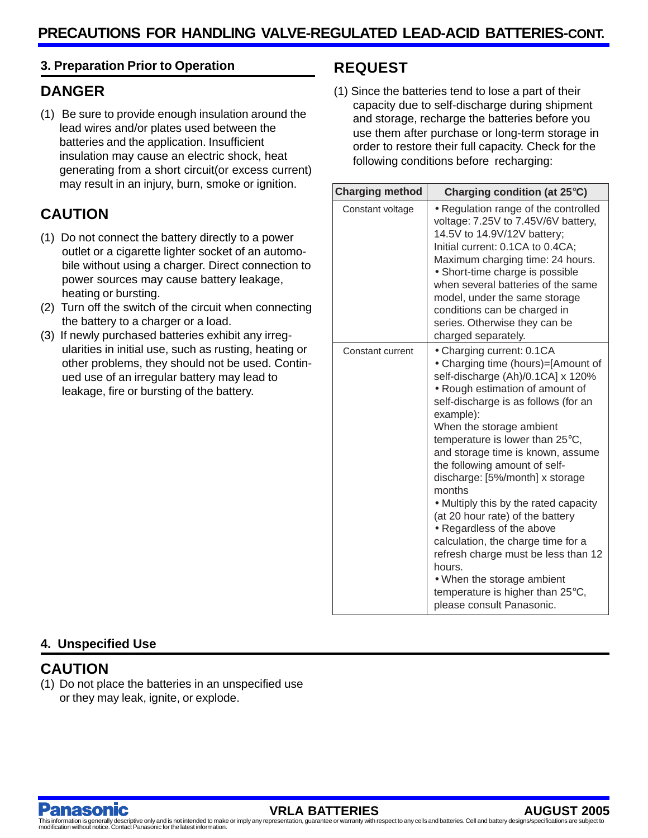#### **3. Preparation Prior to Operation**

## **DANGER**

(1) Be sure to provide enough insulation around the lead wires and/or plates used between the batteries and the application. Insufficient insulation may cause an electric shock, heat generating from a short circuit(or excess current) may result in an injury, burn, smoke or ignition.

# **CAUTION**

- (1) Do not connect the battery directly to a power outlet or a cigarette lighter socket of an automobile without using a charger. Direct connection to power sources may cause battery leakage, heating or bursting.
- (2) Turn off the switch of the circuit when connecting the battery to a charger or a load.
- (3) If newly purchased batteries exhibit any irregularities in initial use, such as rusting, heating or other problems, they should not be used. Continued use of an irregular battery may lead to leakage, fire or bursting of the battery.

## **REQUEST**

(1) Since the batteries tend to lose a part of their capacity due to self-discharge during shipment and storage, recharge the batteries before you use them after purchase or long-term storage in order to restore their full capacity. Check for the following conditions before recharging:

| <b>Charging method</b> | Charging condition (at 25°C)                                                                                                                                                                                                                                                                                                                                                                                                                                                                                                                                                                                                                                                   |  |  |  |
|------------------------|--------------------------------------------------------------------------------------------------------------------------------------------------------------------------------------------------------------------------------------------------------------------------------------------------------------------------------------------------------------------------------------------------------------------------------------------------------------------------------------------------------------------------------------------------------------------------------------------------------------------------------------------------------------------------------|--|--|--|
| Constant voltage       | • Regulation range of the controlled<br>voltage: 7.25V to 7.45V/6V battery,<br>14.5V to 14.9V/12V battery;<br>Initial current: 0.1CA to 0.4CA;<br>Maximum charging time: 24 hours.<br>• Short-time charge is possible<br>when several batteries of the same<br>model, under the same storage<br>conditions can be charged in<br>series. Otherwise they can be<br>charged separately.                                                                                                                                                                                                                                                                                           |  |  |  |
| Constant current       | • Charging current: 0.1CA<br>• Charging time (hours)=[Amount of<br>self-discharge (Ah)/0.1CA] x 120%<br>· Rough estimation of amount of<br>self-discharge is as follows (for an<br>example):<br>When the storage ambient<br>temperature is lower than 25°C,<br>and storage time is known, assume<br>the following amount of self-<br>discharge: [5%/month] x storage<br>months<br>• Multiply this by the rated capacity<br>(at 20 hour rate) of the battery<br>• Regardless of the above<br>calculation, the charge time for a<br>refresh charge must be less than 12<br>hours.<br>• When the storage ambient<br>temperature is higher than 25°C,<br>please consult Panasonic. |  |  |  |

#### **4. Unspecified Use**

# **CAUTION**

(1) Do not place the batteries in an unspecified use or they may leak, ignite, or explode.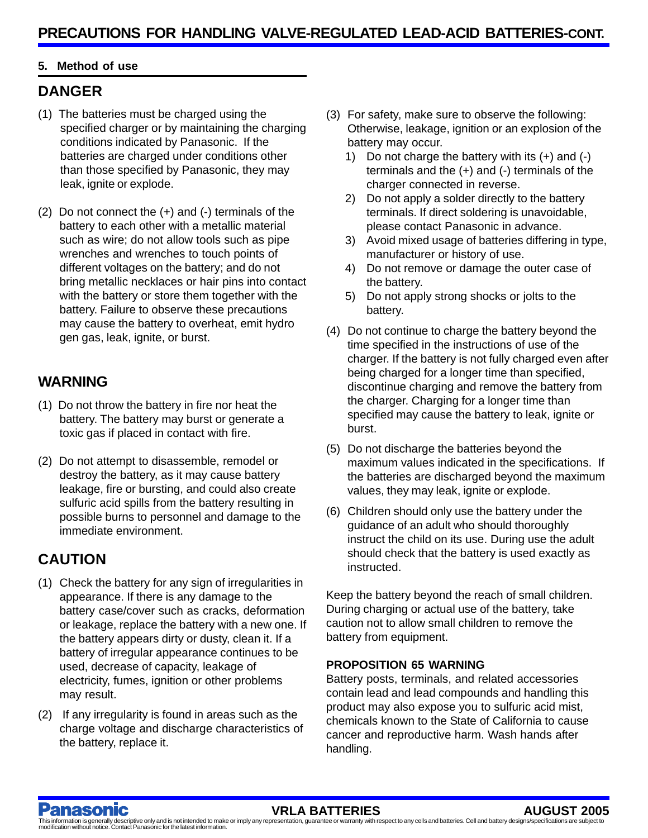#### **5. Method of use**

## **DANGER**

- (1) The batteries must be charged using the specified charger or by maintaining the charging conditions indicated by Panasonic. If the batteries are charged under conditions other than those specified by Panasonic, they may leak, ignite or explode.
- (2) Do not connect the (+) and (-) terminals of the battery to each other with a metallic material such as wire; do not allow tools such as pipe wrenches and wrenches to touch points of different voltages on the battery; and do not bring metallic necklaces or hair pins into contact with the battery or store them together with the battery. Failure to observe these precautions may cause the battery to overheat, emit hydro gen gas, leak, ignite, or burst.

## **WARNING**

- (1) Do not throw the battery in fire nor heat the battery. The battery may burst or generate a toxic gas if placed in contact with fire.
- (2) Do not attempt to disassemble, remodel or destroy the battery, as it may cause battery leakage, fire or bursting, and could also create sulfuric acid spills from the battery resulting in possible burns to personnel and damage to the immediate environment.

# **CAUTION**

- (1) Check the battery for any sign of irregularities in appearance. If there is any damage to the battery case/cover such as cracks, deformation or leakage, replace the battery with a new one. If the battery appears dirty or dusty, clean it. If a battery of irregular appearance continues to be used, decrease of capacity, leakage of electricity, fumes, ignition or other problems may result.
- (2) If any irregularity is found in areas such as the charge voltage and discharge characteristics of the battery, replace it.
- (3) For safety, make sure to observe the following: Otherwise, leakage, ignition or an explosion of the battery may occur.
	- 1) Do not charge the battery with its  $(+)$  and  $(-)$ terminals and the (+) and (-) terminals of the charger connected in reverse.
	- 2) Do not apply a solder directly to the battery terminals. If direct soldering is unavoidable, please contact Panasonic in advance.
	- 3) Avoid mixed usage of batteries differing in type, manufacturer or history of use.
	- 4) Do not remove or damage the outer case of the battery.
	- 5) Do not apply strong shocks or jolts to the battery.
- (4) Do not continue to charge the battery beyond the time specified in the instructions of use of the charger. If the battery is not fully charged even after being charged for a longer time than specified, discontinue charging and remove the battery from the charger. Charging for a longer time than specified may cause the battery to leak, ignite or burst.
- (5) Do not discharge the batteries beyond the maximum values indicated in the specifications. If the batteries are discharged beyond the maximum values, they may leak, ignite or explode.
- (6) Children should only use the battery under the guidance of an adult who should thoroughly instruct the child on its use. During use the adult should check that the battery is used exactly as instructed.

Keep the battery beyond the reach of small children. During charging or actual use of the battery, take caution not to allow small children to remove the battery from equipment.

#### **PROPOSITION 65 WARNING**

Battery posts, terminals, and related accessories contain lead and lead compounds and handling this product may also expose you to sulfuric acid mist, chemicals known to the State of California to cause cancer and reproductive harm. Wash hands after handling.

anasonic

#### **VRLA BATTERIES AUGUST 2005**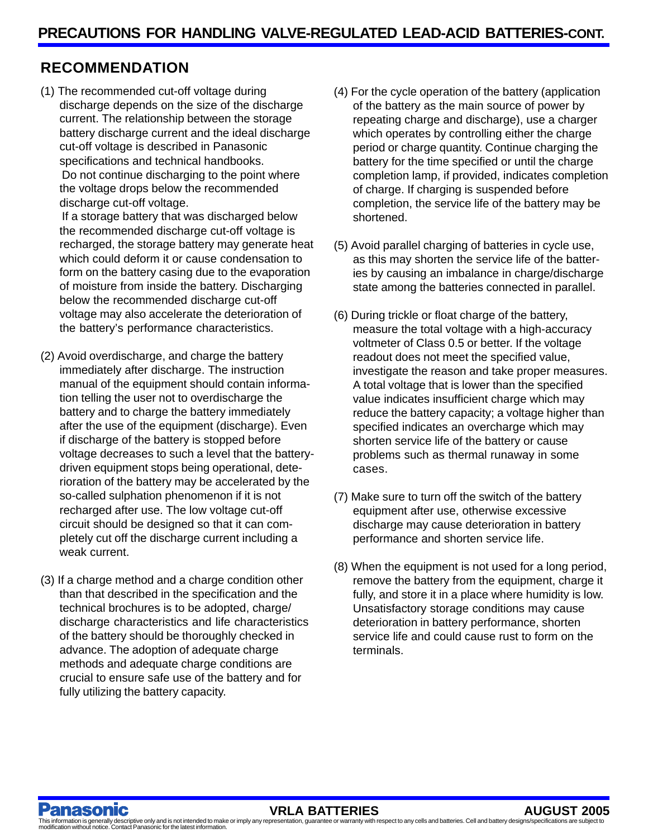# **RECOMMENDATION**

(1) The recommended cut-off voltage during discharge depends on the size of the discharge current. The relationship between the storage battery discharge current and the ideal discharge cut-off voltage is described in Panasonic specifications and technical handbooks. Do not continue discharging to the point where the voltage drops below the recommended discharge cut-off voltage.

If a storage battery that was discharged below the recommended discharge cut-off voltage is recharged, the storage battery may generate heat which could deform it or cause condensation to form on the battery casing due to the evaporation of moisture from inside the battery. Discharging below the recommended discharge cut-off voltage may also accelerate the deterioration of the battery's performance characteristics.

- (2) Avoid overdischarge, and charge the battery immediately after discharge. The instruction manual of the equipment should contain information telling the user not to overdischarge the battery and to charge the battery immediately after the use of the equipment (discharge). Even if discharge of the battery is stopped before voltage decreases to such a level that the batterydriven equipment stops being operational, deterioration of the battery may be accelerated by the so-called sulphation phenomenon if it is not recharged after use. The low voltage cut-off circuit should be designed so that it can completely cut off the discharge current including a weak current.
- (3) If a charge method and a charge condition other than that described in the specification and the technical brochures is to be adopted, charge/ discharge characteristics and life characteristics of the battery should be thoroughly checked in advance. The adoption of adequate charge methods and adequate charge conditions are crucial to ensure safe use of the battery and for fully utilizing the battery capacity.
- (4) For the cycle operation of the battery (application of the battery as the main source of power by repeating charge and discharge), use a charger which operates by controlling either the charge period or charge quantity. Continue charging the battery for the time specified or until the charge completion lamp, if provided, indicates completion of charge. If charging is suspended before completion, the service life of the battery may be shortened.
- (5) Avoid parallel charging of batteries in cycle use, as this may shorten the service life of the batteries by causing an imbalance in charge/discharge state among the batteries connected in parallel.
- (6) During trickle or float charge of the battery, measure the total voltage with a high-accuracy voltmeter of Class 0.5 or better. If the voltage readout does not meet the specified value, investigate the reason and take proper measures. A total voltage that is lower than the specified value indicates insufficient charge which may reduce the battery capacity; a voltage higher than specified indicates an overcharge which may shorten service life of the battery or cause problems such as thermal runaway in some cases.
- (7) Make sure to turn off the switch of the battery equipment after use, otherwise excessive discharge may cause deterioration in battery performance and shorten service life.
- (8) When the equipment is not used for a long period, remove the battery from the equipment, charge it fully, and store it in a place where humidity is low. Unsatisfactory storage conditions may cause deterioration in battery performance, shorten service life and could cause rust to form on the terminals.

anasonic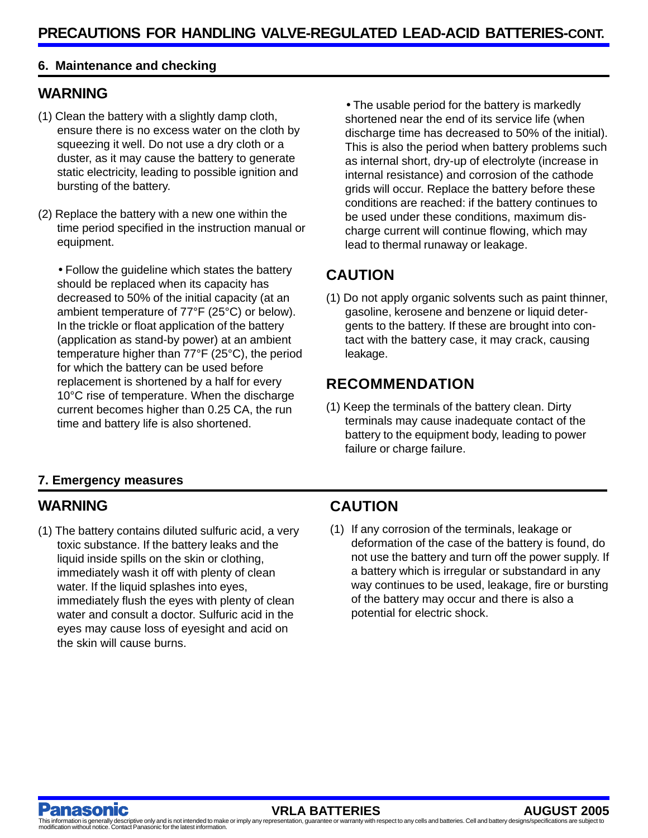#### **6. Maintenance and checking**

### **WARNING**

- (1) Clean the battery with a slightly damp cloth, ensure there is no excess water on the cloth by squeezing it well. Do not use a dry cloth or a duster, as it may cause the battery to generate static electricity, leading to possible ignition and bursting of the battery.
- (2) Replace the battery with a new one within the time period specified in the instruction manual or equipment.

• Follow the guideline which states the battery should be replaced when its capacity has decreased to 50% of the initial capacity (at an ambient temperature of 77°F (25°C) or below). In the trickle or float application of the battery (application as stand-by power) at an ambient temperature higher than 77°F (25°C), the period for which the battery can be used before replacement is shortened by a half for every 10°C rise of temperature. When the discharge current becomes higher than 0.25 CA, the run time and battery life is also shortened.

• The usable period for the battery is markedly shortened near the end of its service life (when discharge time has decreased to 50% of the initial). This is also the period when battery problems such as internal short, dry-up of electrolyte (increase in internal resistance) and corrosion of the cathode grids will occur. Replace the battery before these conditions are reached: if the battery continues to be used under these conditions, maximum discharge current will continue flowing, which may lead to thermal runaway or leakage.

# **CAUTION**

(1) Do not apply organic solvents such as paint thinner, gasoline, kerosene and benzene or liquid detergents to the battery. If these are brought into contact with the battery case, it may crack, causing leakage.

## **RECOMMENDATION**

(1) Keep the terminals of the battery clean. Dirty terminals may cause inadequate contact of the battery to the equipment body, leading to power failure or charge failure.

## **7. Emergency measures**

## **WARNING**

(1) The battery contains diluted sulfuric acid, a very toxic substance. If the battery leaks and the liquid inside spills on the skin or clothing, immediately wash it off with plenty of clean water. If the liquid splashes into eyes, immediately flush the eyes with plenty of clean water and consult a doctor. Sulfuric acid in the eyes may cause loss of eyesight and acid on the skin will cause burns.

# **CAUTION**

(1) If any corrosion of the terminals, leakage or deformation of the case of the battery is found, do not use the battery and turn off the power supply. If a battery which is irregular or substandard in any way continues to be used, leakage, fire or bursting of the battery may occur and there is also a potential for electric shock.

anasonic

 **VRLA BATTERIES AUGUST 2005**